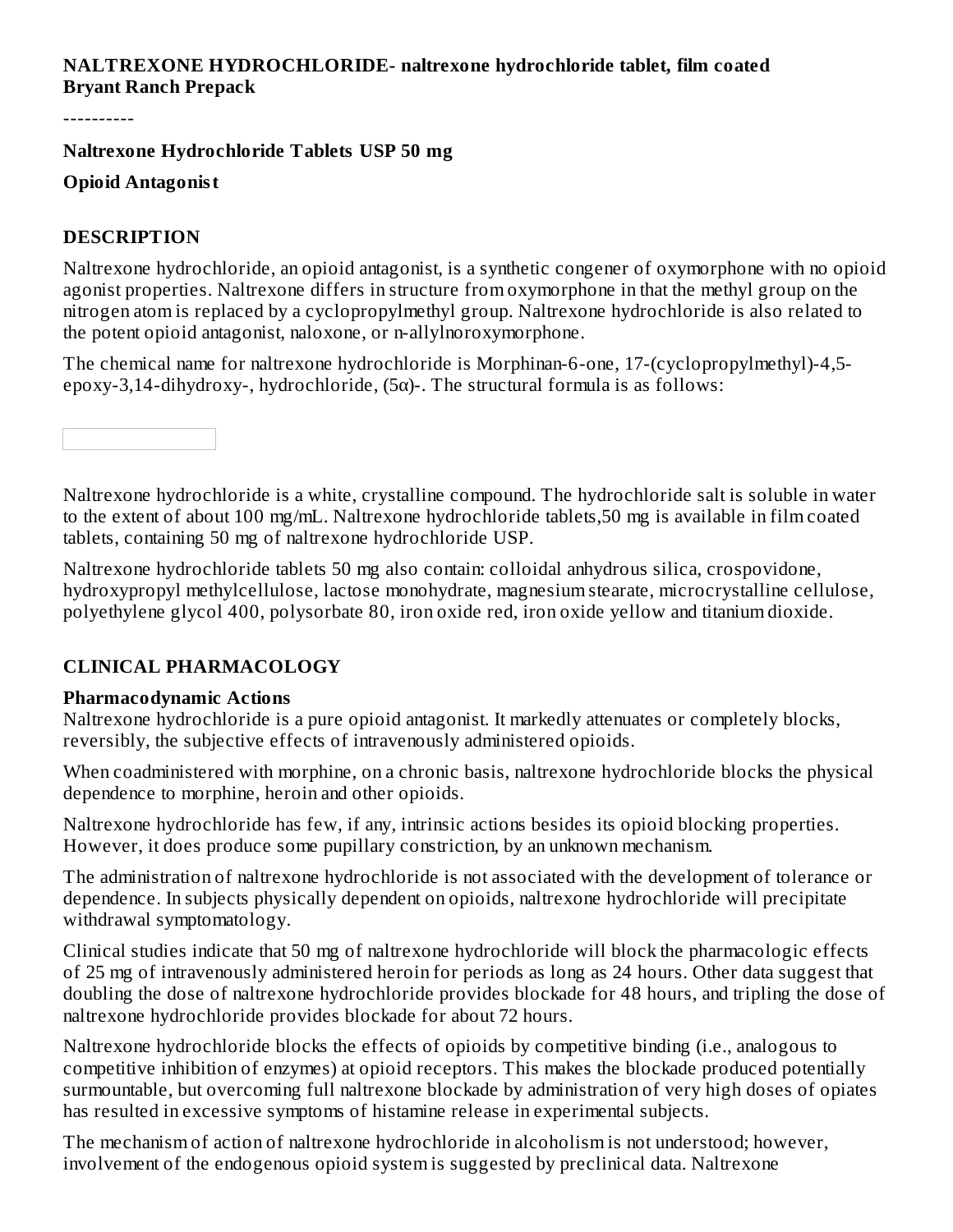#### **NALTREXONE HYDROCHLORIDE- naltrexone hydrochloride tablet, film coated Bryant Ranch Prepack**

----------

**Naltrexone Hydrochloride Tablets USP 50 mg**

## **Opioid Antagonist**

#### **DESCRIPTION**

Naltrexone hydrochloride, an opioid antagonist, is a synthetic congener of oxymorphone with no opioid agonist properties. Naltrexone differs in structure from oxymorphone in that the methyl group on the nitrogen atom is replaced by a cyclopropylmethyl group. Naltrexone hydrochloride is also related to the potent opioid antagonist, naloxone, or n-allylnoroxymorphone.

The chemical name for naltrexone hydrochloride is Morphinan-6-one, 17-(cyclopropylmethyl)-4,5 epoxy-3,14-dihydroxy-, hydrochloride,  $(5\alpha)$ -. The structural formula is as follows:

Naltrexone hydrochloride is a white, crystalline compound. The hydrochloride salt is soluble in water to the extent of about 100 mg/mL. Naltrexone hydrochloride tablets,50 mg is available in film coated tablets, containing 50 mg of naltrexone hydrochloride USP.

Naltrexone hydrochloride tablets 50 mg also contain: colloidal anhydrous silica, crospovidone, hydroxypropyl methylcellulose, lactose monohydrate, magnesium stearate, microcrystalline cellulose, polyethylene glycol 400, polysorbate 80, iron oxide red, iron oxide yellow and titanium dioxide.

## **CLINICAL PHARMACOLOGY**

#### **Pharmacodynamic Actions**

Naltrexone hydrochloride is a pure opioid antagonist. It markedly attenuates or completely blocks, reversibly, the subjective effects of intravenously administered opioids.

When coadministered with morphine, on a chronic basis, naltrexone hydrochloride blocks the physical dependence to morphine, heroin and other opioids.

Naltrexone hydrochloride has few, if any, intrinsic actions besides its opioid blocking properties. However, it does produce some pupillary constriction, by an unknown mechanism.

The administration of naltrexone hydrochloride is not associated with the development of tolerance or dependence. In subjects physically dependent on opioids, naltrexone hydrochloride will precipitate withdrawal symptomatology.

Clinical studies indicate that 50 mg of naltrexone hydrochloride will block the pharmacologic effects of 25 mg of intravenously administered heroin for periods as long as 24 hours. Other data suggest that doubling the dose of naltrexone hydrochloride provides blockade for 48 hours, and tripling the dose of naltrexone hydrochloride provides blockade for about 72 hours.

Naltrexone hydrochloride blocks the effects of opioids by competitive binding (i.e., analogous to competitive inhibition of enzymes) at opioid receptors. This makes the blockade produced potentially surmountable, but overcoming full naltrexone blockade by administration of very high doses of opiates has resulted in excessive symptoms of histamine release in experimental subjects.

The mechanism of action of naltrexone hydrochloride in alcoholism is not understood; however, involvement of the endogenous opioid system is suggested by preclinical data. Naltrexone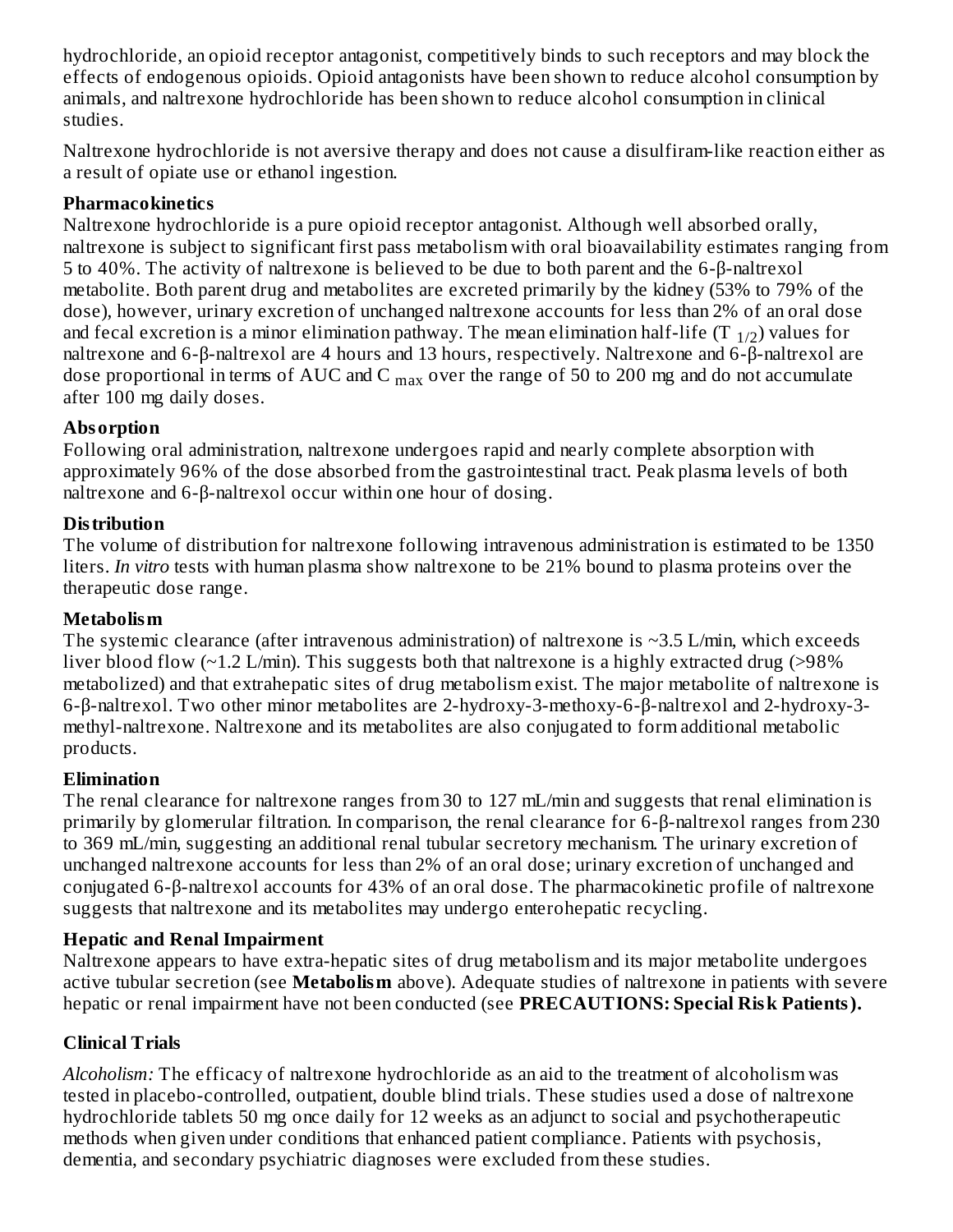hydrochloride, an opioid receptor antagonist, competitively binds to such receptors and may block the effects of endogenous opioids. Opioid antagonists have been shown to reduce alcohol consumption by animals, and naltrexone hydrochloride has been shown to reduce alcohol consumption in clinical studies.

Naltrexone hydrochloride is not aversive therapy and does not cause a disulfiram-like reaction either as a result of opiate use or ethanol ingestion.

## **Pharmacokinetics**

Naltrexone hydrochloride is a pure opioid receptor antagonist. Although well absorbed orally, naltrexone is subject to significant first pass metabolism with oral bioavailability estimates ranging from 5 to 40%. The activity of naltrexone is believed to be due to both parent and the 6-β-naltrexol metabolite. Both parent drug and metabolites are excreted primarily by the kidney (53% to 79% of the dose), however, urinary excretion of unchanged naltrexone accounts for less than 2% of an oral dose and fecal excretion is a minor elimination pathway. The mean elimination half-life (T  $_{\rm 1/2})$  values for naltrexone and 6-β-naltrexol are 4 hours and 13 hours, respectively. Naltrexone and 6-β-naltrexol are dose proportional in terms of AUC and C  $_{\rm max}$  over the range of 50 to 200 mg and do not accumulate after 100 mg daily doses.

## **Absorption**

Following oral administration, naltrexone undergoes rapid and nearly complete absorption with approximately 96% of the dose absorbed from the gastrointestinal tract. Peak plasma levels of both naltrexone and 6-β-naltrexol occur within one hour of dosing.

## **Distribution**

The volume of distribution for naltrexone following intravenous administration is estimated to be 1350 liters. *In vitro* tests with human plasma show naltrexone to be 21% bound to plasma proteins over the therapeutic dose range.

## **Metabolism**

The systemic clearance (after intravenous administration) of naltrexone is  $\sim$ 3.5 L/min, which exceeds liver blood flow (~1.2 L/min). This suggests both that naltrexone is a highly extracted drug (>98%) metabolized) and that extrahepatic sites of drug metabolism exist. The major metabolite of naltrexone is 6-β-naltrexol. Two other minor metabolites are 2-hydroxy-3-methoxy-6-β-naltrexol and 2-hydroxy-3 methyl-naltrexone. Naltrexone and its metabolites are also conjugated to form additional metabolic products.

## **Elimination**

The renal clearance for naltrexone ranges from 30 to 127 mL/min and suggests that renal elimination is primarily by glomerular filtration. In comparison, the renal clearance for 6-β-naltrexol ranges from 230 to 369 mL/min, suggesting an additional renal tubular secretory mechanism. The urinary excretion of unchanged naltrexone accounts for less than 2% of an oral dose; urinary excretion of unchanged and conjugated 6-β-naltrexol accounts for 43% of an oral dose. The pharmacokinetic profile of naltrexone suggests that naltrexone and its metabolites may undergo enterohepatic recycling.

#### **Hepatic and Renal Impairment**

Naltrexone appears to have extra-hepatic sites of drug metabolism and its major metabolite undergoes active tubular secretion (see **Metabolism** above). Adequate studies of naltrexone in patients with severe hepatic or renal impairment have not been conducted (see **PRECAUTIONS: Special Risk Patients).**

## **Clinical Trials**

*Alcoholism:* The efficacy of naltrexone hydrochloride as an aid to the treatment of alcoholism was tested in placebo-controlled, outpatient, double blind trials. These studies used a dose of naltrexone hydrochloride tablets 50 mg once daily for 12 weeks as an adjunct to social and psychotherapeutic methods when given under conditions that enhanced patient compliance. Patients with psychosis, dementia, and secondary psychiatric diagnoses were excluded from these studies.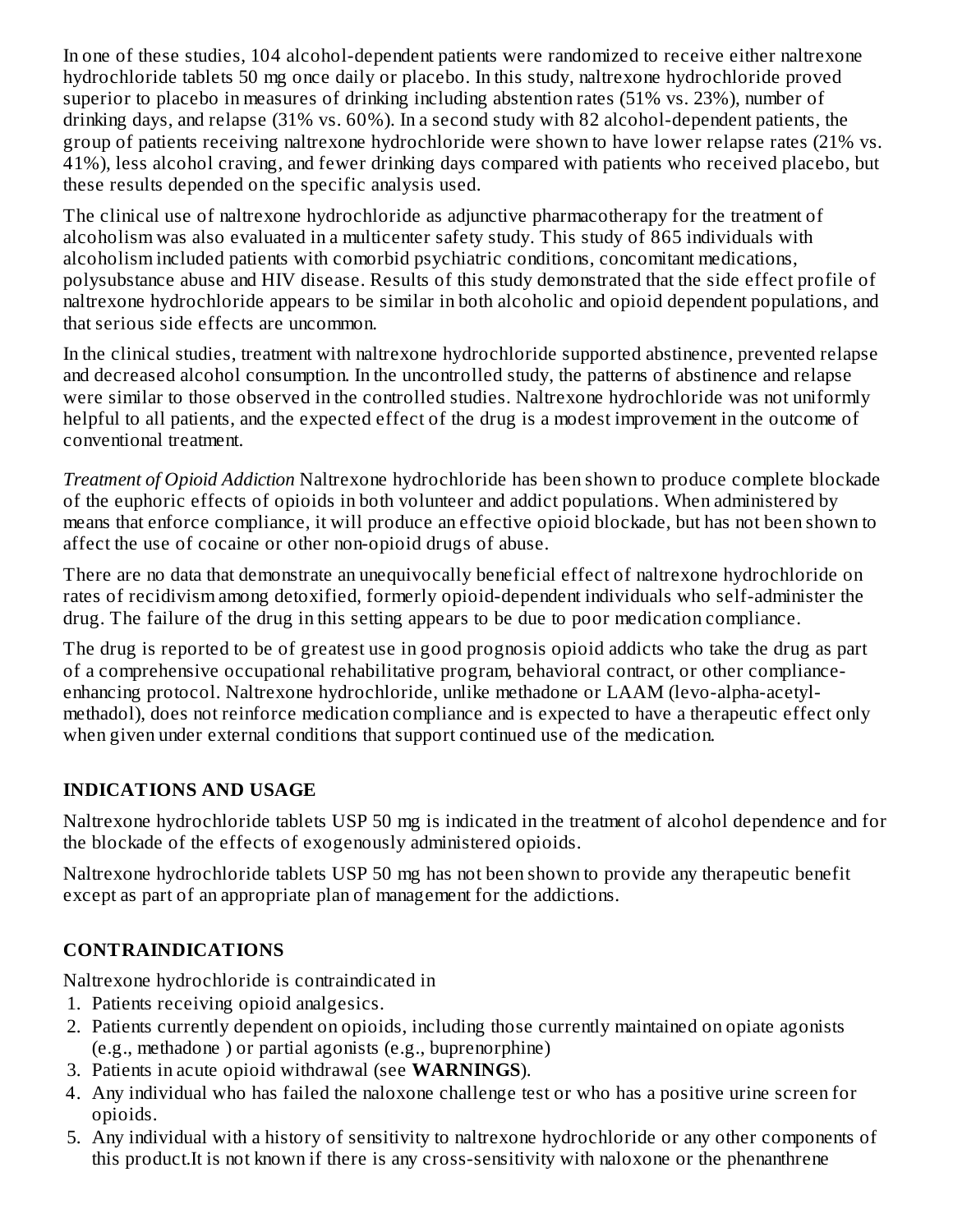In one of these studies, 104 alcohol-dependent patients were randomized to receive either naltrexone hydrochloride tablets 50 mg once daily or placebo. In this study, naltrexone hydrochloride proved superior to placebo in measures of drinking including abstention rates (51% vs. 23%), number of drinking days, and relapse (31% vs. 60%). In a second study with 82 alcohol-dependent patients, the group of patients receiving naltrexone hydrochloride were shown to have lower relapse rates (21% vs. 41%), less alcohol craving, and fewer drinking days compared with patients who received placebo, but these results depended on the specific analysis used.

The clinical use of naltrexone hydrochloride as adjunctive pharmacotherapy for the treatment of alcoholism was also evaluated in a multicenter safety study. This study of 865 individuals with alcoholism included patients with comorbid psychiatric conditions, concomitant medications, polysubstance abuse and HIV disease. Results of this study demonstrated that the side effect profile of naltrexone hydrochloride appears to be similar in both alcoholic and opioid dependent populations, and that serious side effects are uncommon.

In the clinical studies, treatment with naltrexone hydrochloride supported abstinence, prevented relapse and decreased alcohol consumption. In the uncontrolled study, the patterns of abstinence and relapse were similar to those observed in the controlled studies. Naltrexone hydrochloride was not uniformly helpful to all patients, and the expected effect of the drug is a modest improvement in the outcome of conventional treatment.

*Treatment of Opioid Addiction* Naltrexone hydrochloride has been shown to produce complete blockade of the euphoric effects of opioids in both volunteer and addict populations. When administered by means that enforce compliance, it will produce an effective opioid blockade, but has not been shown to affect the use of cocaine or other non-opioid drugs of abuse.

There are no data that demonstrate an unequivocally beneficial effect of naltrexone hydrochloride on rates of recidivism among detoxified, formerly opioid-dependent individuals who self-administer the drug. The failure of the drug in this setting appears to be due to poor medication compliance.

The drug is reported to be of greatest use in good prognosis opioid addicts who take the drug as part of a comprehensive occupational rehabilitative program, behavioral contract, or other complianceenhancing protocol. Naltrexone hydrochloride, unlike methadone or LAAM (levo-alpha-acetylmethadol), does not reinforce medication compliance and is expected to have a therapeutic effect only when given under external conditions that support continued use of the medication.

## **INDICATIONS AND USAGE**

Naltrexone hydrochloride tablets USP 50 mg is indicated in the treatment of alcohol dependence and for the blockade of the effects of exogenously administered opioids.

Naltrexone hydrochloride tablets USP 50 mg has not been shown to provide any therapeutic benefit except as part of an appropriate plan of management for the addictions.

## **CONTRAINDICATIONS**

Naltrexone hydrochloride is contraindicated in

- 1. Patients receiving opioid analgesics.
- 2. Patients currently dependent on opioids, including those currently maintained on opiate agonists (e.g., methadone ) or partial agonists (e.g., buprenorphine)
- 3. Patients in acute opioid withdrawal (see **WARNINGS**).
- 4. Any individual who has failed the naloxone challenge test or who has a positive urine screen for opioids.
- 5. Any individual with a history of sensitivity to naltrexone hydrochloride or any other components of this product.It is not known if there is any cross-sensitivity with naloxone or the phenanthrene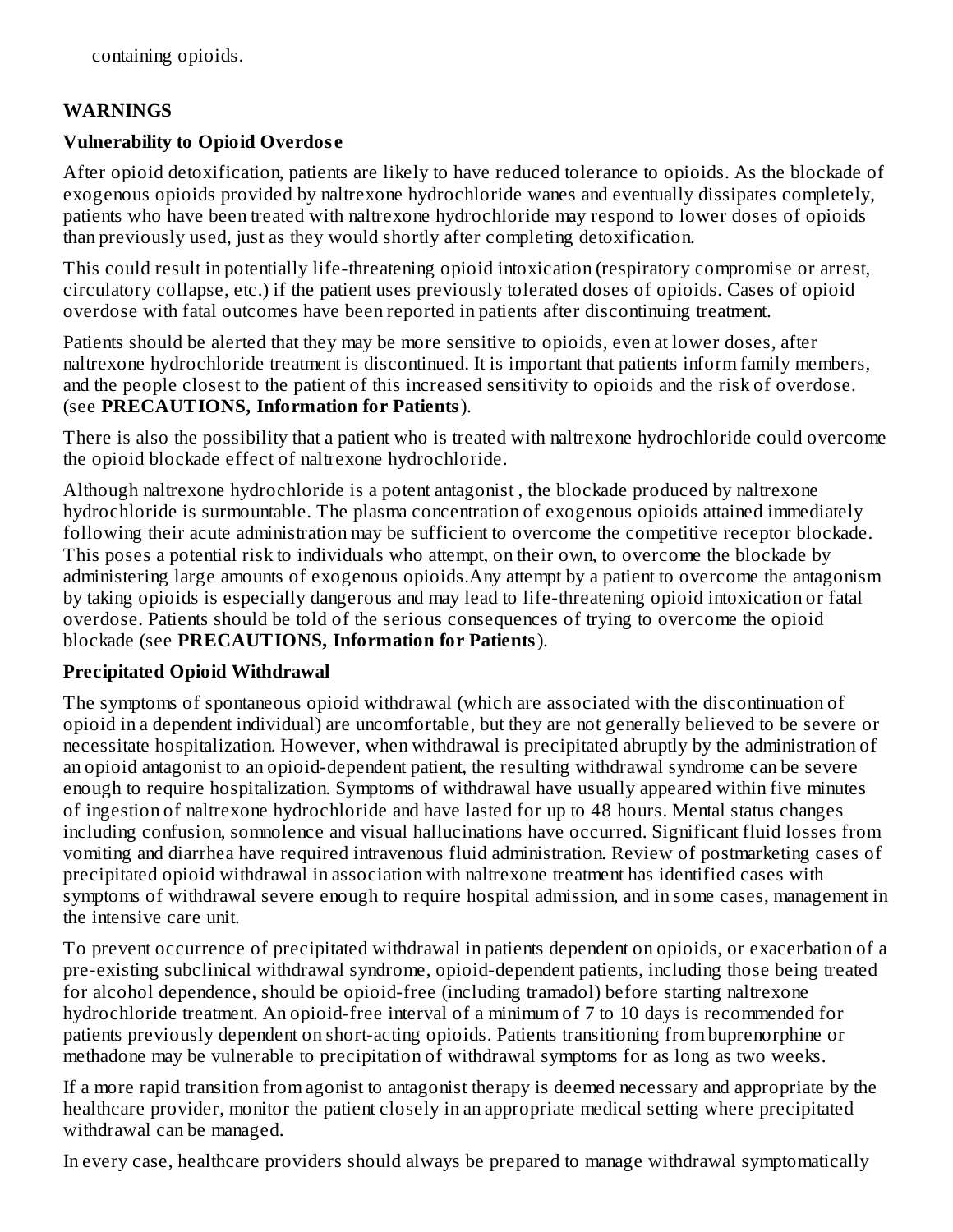#### **WARNINGS**

#### **Vulnerability to Opioid Overdos e**

After opioid detoxification, patients are likely to have reduced tolerance to opioids. As the blockade of exogenous opioids provided by naltrexone hydrochloride wanes and eventually dissipates completely, patients who have been treated with naltrexone hydrochloride may respond to lower doses of opioids than previously used, just as they would shortly after completing detoxification.

This could result in potentially life-threatening opioid intoxication (respiratory compromise or arrest, circulatory collapse, etc.) if the patient uses previously tolerated doses of opioids. Cases of opioid overdose with fatal outcomes have been reported in patients after discontinuing treatment.

Patients should be alerted that they may be more sensitive to opioids, even at lower doses, after naltrexone hydrochloride treatment is discontinued. It is important that patients inform family members, and the people closest to the patient of this increased sensitivity to opioids and the risk of overdose. (see **PRECAUTIONS, Information for Patients**).

There is also the possibility that a patient who is treated with naltrexone hydrochloride could overcome the opioid blockade effect of naltrexone hydrochloride.

Although naltrexone hydrochloride is a potent antagonist , the blockade produced by naltrexone hydrochloride is surmountable. The plasma concentration of exogenous opioids attained immediately following their acute administration may be sufficient to overcome the competitive receptor blockade. This poses a potential risk to individuals who attempt, on their own, to overcome the blockade by administering large amounts of exogenous opioids.Any attempt by a patient to overcome the antagonism by taking opioids is especially dangerous and may lead to life-threatening opioid intoxication or fatal overdose. Patients should be told of the serious consequences of trying to overcome the opioid blockade (see **PRECAUTIONS, Information for Patients**).

#### **Precipitated Opioid Withdrawal**

The symptoms of spontaneous opioid withdrawal (which are associated with the discontinuation of opioid in a dependent individual) are uncomfortable, but they are not generally believed to be severe or necessitate hospitalization. However, when withdrawal is precipitated abruptly by the administration of an opioid antagonist to an opioid-dependent patient, the resulting withdrawal syndrome can be severe enough to require hospitalization. Symptoms of withdrawal have usually appeared within five minutes of ingestion of naltrexone hydrochloride and have lasted for up to 48 hours. Mental status changes including confusion, somnolence and visual hallucinations have occurred. Significant fluid losses from vomiting and diarrhea have required intravenous fluid administration. Review of postmarketing cases of precipitated opioid withdrawal in association with naltrexone treatment has identified cases with symptoms of withdrawal severe enough to require hospital admission, and in some cases, management in the intensive care unit.

To prevent occurrence of precipitated withdrawal in patients dependent on opioids, or exacerbation of a pre-existing subclinical withdrawal syndrome, opioid-dependent patients, including those being treated for alcohol dependence, should be opioid-free (including tramadol) before starting naltrexone hydrochloride treatment. An opioid-free interval of a minimum of 7 to 10 days is recommended for patients previously dependent on short-acting opioids. Patients transitioning from buprenorphine or methadone may be vulnerable to precipitation of withdrawal symptoms for as long as two weeks.

If a more rapid transition from agonist to antagonist therapy is deemed necessary and appropriate by the healthcare provider, monitor the patient closely in an appropriate medical setting where precipitated withdrawal can be managed.

In every case, healthcare providers should always be prepared to manage withdrawal symptomatically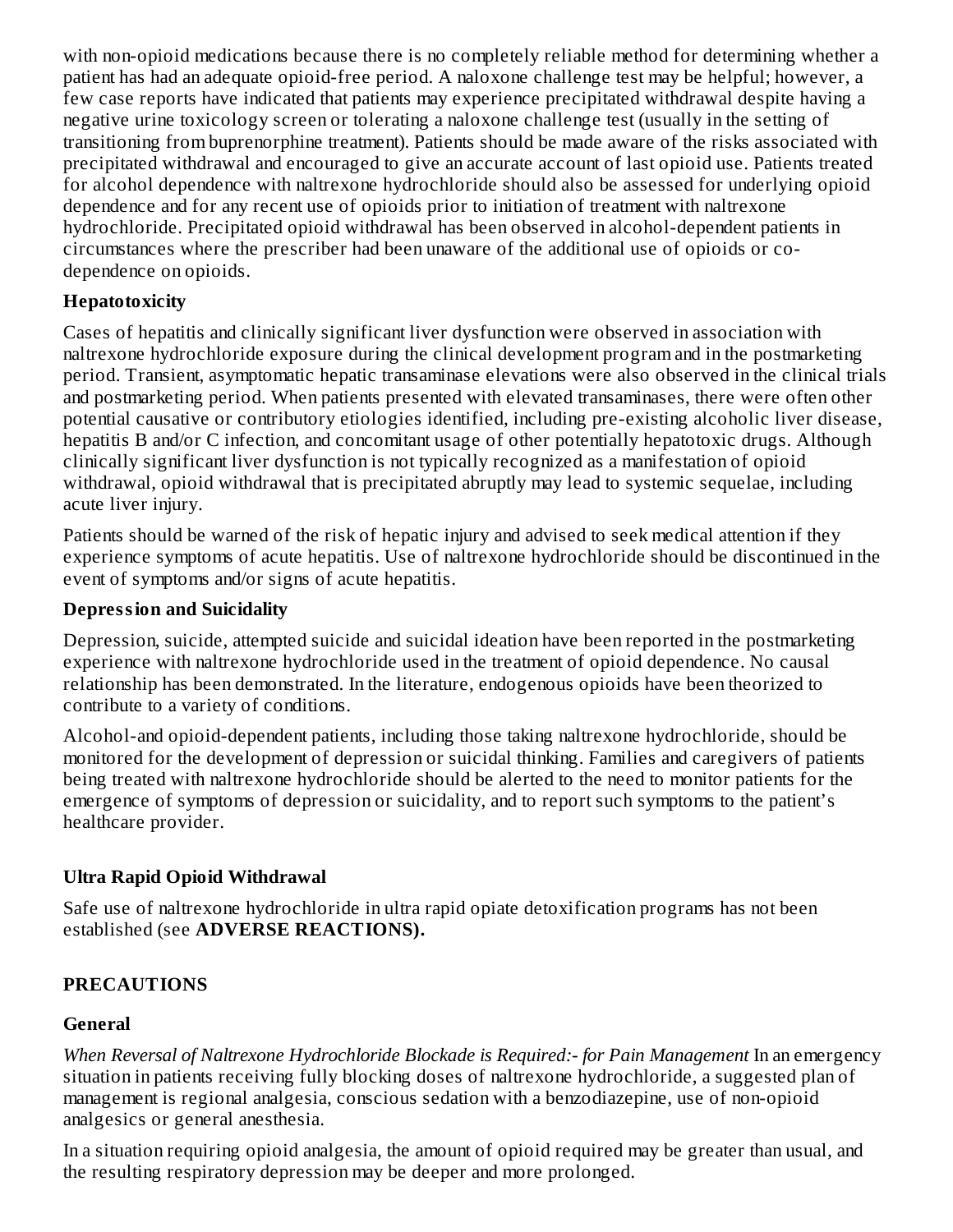with non-opioid medications because there is no completely reliable method for determining whether a patient has had an adequate opioid-free period. A naloxone challenge test may be helpful; however, a few case reports have indicated that patients may experience precipitated withdrawal despite having a negative urine toxicology screen or tolerating a naloxone challenge test (usually in the setting of transitioning from buprenorphine treatment). Patients should be made aware of the risks associated with precipitated withdrawal and encouraged to give an accurate account of last opioid use. Patients treated for alcohol dependence with naltrexone hydrochloride should also be assessed for underlying opioid dependence and for any recent use of opioids prior to initiation of treatment with naltrexone hydrochloride. Precipitated opioid withdrawal has been observed in alcohol-dependent patients in circumstances where the prescriber had been unaware of the additional use of opioids or codependence on opioids.

#### **Hepatotoxicity**

Cases of hepatitis and clinically significant liver dysfunction were observed in association with naltrexone hydrochloride exposure during the clinical development program and in the postmarketing period. Transient, asymptomatic hepatic transaminase elevations were also observed in the clinical trials and postmarketing period. When patients presented with elevated transaminases, there were often other potential causative or contributory etiologies identified, including pre-existing alcoholic liver disease, hepatitis B and/or C infection, and concomitant usage of other potentially hepatotoxic drugs. Although clinically significant liver dysfunction is not typically recognized as a manifestation of opioid withdrawal, opioid withdrawal that is precipitated abruptly may lead to systemic sequelae, including acute liver injury.

Patients should be warned of the risk of hepatic injury and advised to seek medical attention if they experience symptoms of acute hepatitis. Use of naltrexone hydrochloride should be discontinued in the event of symptoms and/or signs of acute hepatitis.

## **Depression and Suicidality**

Depression, suicide, attempted suicide and suicidal ideation have been reported in the postmarketing experience with naltrexone hydrochloride used in the treatment of opioid dependence. No causal relationship has been demonstrated. In the literature, endogenous opioids have been theorized to contribute to a variety of conditions.

Alcohol-and opioid-dependent patients, including those taking naltrexone hydrochloride, should be monitored for the development of depression or suicidal thinking. Families and caregivers of patients being treated with naltrexone hydrochloride should be alerted to the need to monitor patients for the emergence of symptoms of depression or suicidality, and to report such symptoms to the patient's healthcare provider.

## **Ultra Rapid Opioid Withdrawal**

Safe use of naltrexone hydrochloride in ultra rapid opiate detoxification programs has not been established (see **ADVERSE REACTIONS).**

## **PRECAUTIONS**

## **General**

*When Reversal of Naltrexone Hydrochloride Blockade is Required:- for Pain Management* In an emergency situation in patients receiving fully blocking doses of naltrexone hydrochloride, a suggested plan of management is regional analgesia, conscious sedation with a benzodiazepine, use of non-opioid analgesics or general anesthesia.

In a situation requiring opioid analgesia, the amount of opioid required may be greater than usual, and the resulting respiratory depression may be deeper and more prolonged.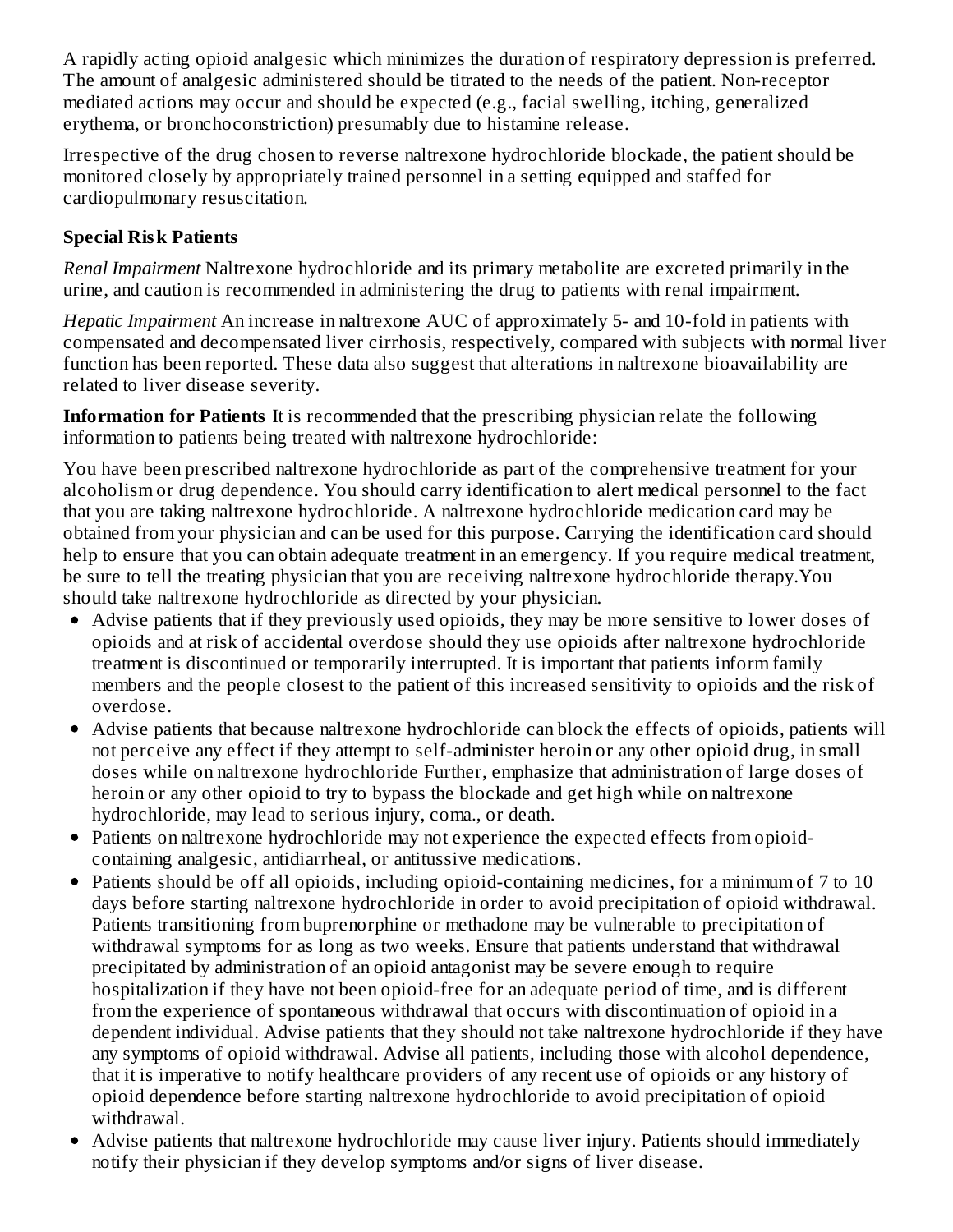A rapidly acting opioid analgesic which minimizes the duration of respiratory depression is preferred. The amount of analgesic administered should be titrated to the needs of the patient. Non-receptor mediated actions may occur and should be expected (e.g., facial swelling, itching, generalized erythema, or bronchoconstriction) presumably due to histamine release.

Irrespective of the drug chosen to reverse naltrexone hydrochloride blockade, the patient should be monitored closely by appropriately trained personnel in a setting equipped and staffed for cardiopulmonary resuscitation.

# **Special Risk Patients**

*Renal Impairment* Naltrexone hydrochloride and its primary metabolite are excreted primarily in the urine, and caution is recommended in administering the drug to patients with renal impairment.

*Hepatic Impairment* An increase in naltrexone AUC of approximately 5- and 10-fold in patients with compensated and decompensated liver cirrhosis, respectively, compared with subjects with normal liver function has been reported. These data also suggest that alterations in naltrexone bioavailability are related to liver disease severity.

**Information for Patients** It is recommended that the prescribing physician relate the following information to patients being treated with naltrexone hydrochloride:

You have been prescribed naltrexone hydrochloride as part of the comprehensive treatment for your alcoholism or drug dependence. You should carry identification to alert medical personnel to the fact that you are taking naltrexone hydrochloride. A naltrexone hydrochloride medication card may be obtained from your physician and can be used for this purpose. Carrying the identification card should help to ensure that you can obtain adequate treatment in an emergency. If you require medical treatment, be sure to tell the treating physician that you are receiving naltrexone hydrochloride therapy.You should take naltrexone hydrochloride as directed by your physician.

- Advise patients that if they previously used opioids, they may be more sensitive to lower doses of opioids and at risk of accidental overdose should they use opioids after naltrexone hydrochloride treatment is discontinued or temporarily interrupted. It is important that patients inform family members and the people closest to the patient of this increased sensitivity to opioids and the risk of overdose.
- Advise patients that because naltrexone hydrochloride can block the effects of opioids, patients will not perceive any effect if they attempt to self-administer heroin or any other opioid drug, in small doses while on naltrexone hydrochloride Further, emphasize that administration of large doses of heroin or any other opioid to try to bypass the blockade and get high while on naltrexone hydrochloride, may lead to serious injury, coma., or death.
- Patients on naltrexone hydrochloride may not experience the expected effects from opioidcontaining analgesic, antidiarrheal, or antitussive medications.
- Patients should be off all opioids, including opioid-containing medicines, for a minimum of 7 to 10 days before starting naltrexone hydrochloride in order to avoid precipitation of opioid withdrawal. Patients transitioning from buprenorphine or methadone may be vulnerable to precipitation of withdrawal symptoms for as long as two weeks. Ensure that patients understand that withdrawal precipitated by administration of an opioid antagonist may be severe enough to require hospitalization if they have not been opioid-free for an adequate period of time, and is different from the experience of spontaneous withdrawal that occurs with discontinuation of opioid in a dependent individual. Advise patients that they should not take naltrexone hydrochloride if they have any symptoms of opioid withdrawal. Advise all patients, including those with alcohol dependence, that it is imperative to notify healthcare providers of any recent use of opioids or any history of opioid dependence before starting naltrexone hydrochloride to avoid precipitation of opioid withdrawal.
- Advise patients that naltrexone hydrochloride may cause liver injury. Patients should immediately notify their physician if they develop symptoms and/or signs of liver disease.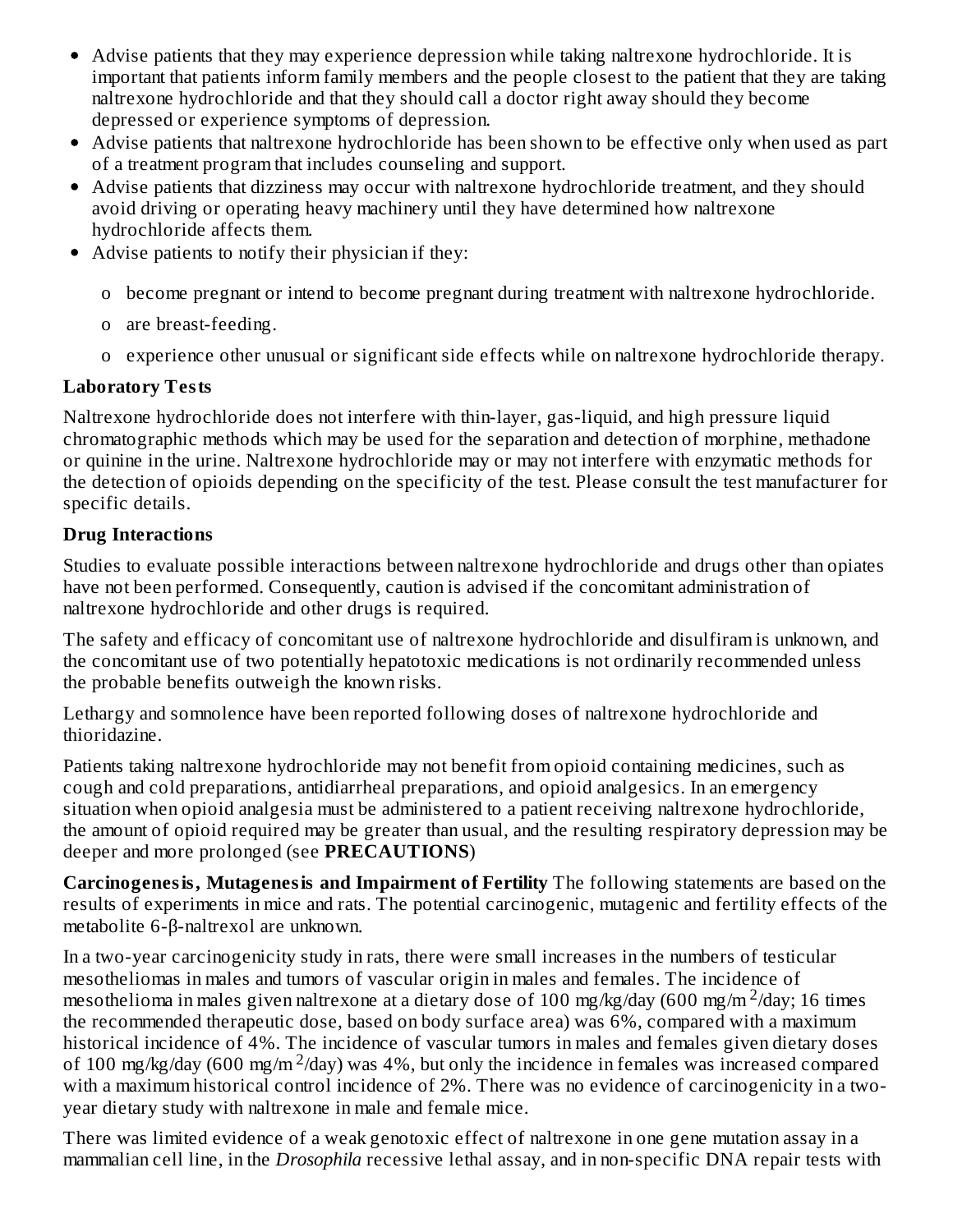- Advise patients that they may experience depression while taking naltrexone hydrochloride. It is important that patients inform family members and the people closest to the patient that they are taking naltrexone hydrochloride and that they should call a doctor right away should they become depressed or experience symptoms of depression.
- Advise patients that naltrexone hydrochloride has been shown to be effective only when used as part of a treatment program that includes counseling and support.
- Advise patients that dizziness may occur with naltrexone hydrochloride treatment, and they should avoid driving or operating heavy machinery until they have determined how naltrexone hydrochloride affects them.
- Advise patients to notify their physician if they:
	- o become pregnant or intend to become pregnant during treatment with naltrexone hydrochloride.
	- o are breast-feeding.
	- o experience other unusual or significant side effects while on naltrexone hydrochloride therapy.

#### **Laboratory Tests**

Naltrexone hydrochloride does not interfere with thin-layer, gas-liquid, and high pressure liquid chromatographic methods which may be used for the separation and detection of morphine, methadone or quinine in the urine. Naltrexone hydrochloride may or may not interfere with enzymatic methods for the detection of opioids depending on the specificity of the test. Please consult the test manufacturer for specific details.

#### **Drug Interactions**

Studies to evaluate possible interactions between naltrexone hydrochloride and drugs other than opiates have not been performed. Consequently, caution is advised if the concomitant administration of naltrexone hydrochloride and other drugs is required.

The safety and efficacy of concomitant use of naltrexone hydrochloride and disulfiram is unknown, and the concomitant use of two potentially hepatotoxic medications is not ordinarily recommended unless the probable benefits outweigh the known risks.

Lethargy and somnolence have been reported following doses of naltrexone hydrochloride and thioridazine.

Patients taking naltrexone hydrochloride may not benefit from opioid containing medicines, such as cough and cold preparations, antidiarrheal preparations, and opioid analgesics. In an emergency situation when opioid analgesia must be administered to a patient receiving naltrexone hydrochloride, the amount of opioid required may be greater than usual, and the resulting respiratory depression may be deeper and more prolonged (see **PRECAUTIONS**)

**Carcinogenesis, Mutagenesis and Impairment of Fertility** The following statements are based on the results of experiments in mice and rats. The potential carcinogenic, mutagenic and fertility effects of the metabolite 6-β-naltrexol are unknown.

In a two-year carcinogenicity study in rats, there were small increases in the numbers of testicular mesotheliomas in males and tumors of vascular origin in males and females. The incidence of mesothelioma in males given naltrexone at a dietary dose of 100 mg/kg/day (600 mg/m  $^2$ /day; 16 times the recommended therapeutic dose, based on body surface area) was 6%, compared with a maximum historical incidence of 4%. The incidence of vascular tumors in males and females given dietary doses of 100 mg/kg/day (600 mg/m<sup>2</sup>/day) was 4%, but only the incidence in females was increased compared with a maximum historical control incidence of 2%. There was no evidence of carcinogenicity in a twoyear dietary study with naltrexone in male and female mice.

There was limited evidence of a weak genotoxic effect of naltrexone in one gene mutation assay in a mammalian cell line, in the *Drosophila* recessive lethal assay, and in non-specific DNA repair tests with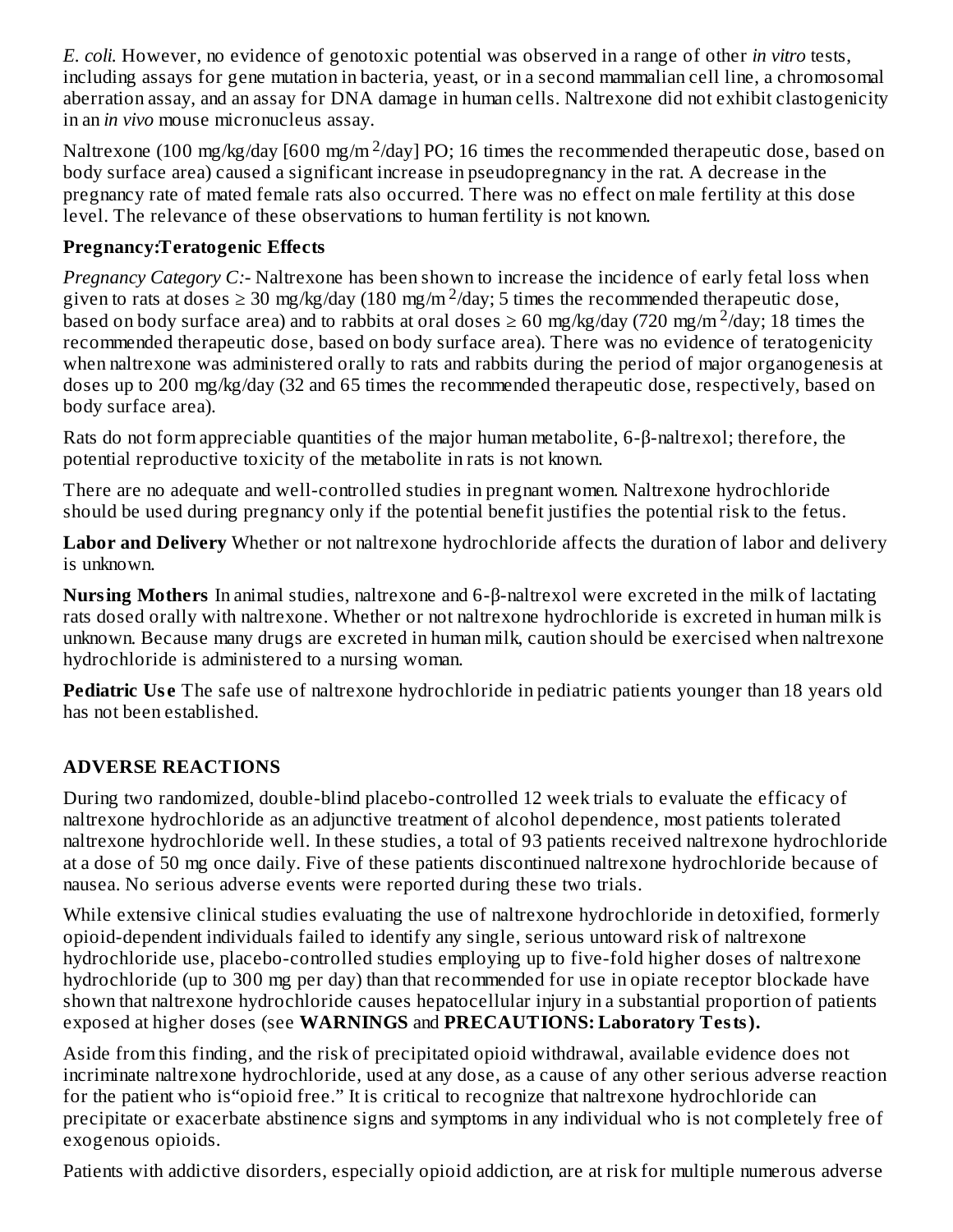*E. coli.* However, no evidence of genotoxic potential was observed in a range of other *in vitro* tests, including assays for gene mutation in bacteria, yeast, or in a second mammalian cell line, a chromosomal aberration assay, and an assay for DNA damage in human cells. Naltrexone did not exhibit clastogenicity in an *in vivo* mouse micronucleus assay.

Naltrexone (100 mg/kg/day [600 mg/m<sup>2</sup>/day] PO; 16 times the recommended therapeutic dose, based on body surface area) caused a significant increase in pseudopregnancy in the rat. A decrease in the pregnancy rate of mated female rats also occurred. There was no effect on male fertility at this dose level. The relevance of these observations to human fertility is not known.

## **Pregnancy:Teratogenic Effects**

*Pregnancy Category C:-* Naltrexone has been shown to increase the incidence of early fetal loss when given to rats at doses  $\geq 30$  mg/kg/day (180 mg/m<sup>2</sup>/day; 5 times the recommended therapeutic dose, based on body surface area) and to rabbits at oral doses  $\geq 60$  mg/kg/day (720 mg/m<sup>2</sup>/day; 18 times the recommended therapeutic dose, based on body surface area). There was no evidence of teratogenicity when naltrexone was administered orally to rats and rabbits during the period of major organogenesis at doses up to 200 mg/kg/day (32 and 65 times the recommended therapeutic dose, respectively, based on body surface area).

Rats do not form appreciable quantities of the major human metabolite, 6-β-naltrexol; therefore, the potential reproductive toxicity of the metabolite in rats is not known.

There are no adequate and well-controlled studies in pregnant women. Naltrexone hydrochloride should be used during pregnancy only if the potential benefit justifies the potential risk to the fetus.

**Labor and Delivery** Whether or not naltrexone hydrochloride affects the duration of labor and delivery is unknown.

**Nursing Mothers** In animal studies, naltrexone and 6-β-naltrexol were excreted in the milk of lactating rats dosed orally with naltrexone. Whether or not naltrexone hydrochloride is excreted in human milk is unknown. Because many drugs are excreted in human milk, caution should be exercised when naltrexone hydrochloride is administered to a nursing woman.

**Pediatric** Use The safe use of naltrexone hydrochloride in pediatric patients younger than 18 years old has not been established.

# **ADVERSE REACTIONS**

During two randomized, double-blind placebo-controlled 12 week trials to evaluate the efficacy of naltrexone hydrochloride as an adjunctive treatment of alcohol dependence, most patients tolerated naltrexone hydrochloride well. In these studies, a total of 93 patients received naltrexone hydrochloride at a dose of 50 mg once daily. Five of these patients discontinued naltrexone hydrochloride because of nausea. No serious adverse events were reported during these two trials.

While extensive clinical studies evaluating the use of naltrexone hydrochloride in detoxified, formerly opioid-dependent individuals failed to identify any single, serious untoward risk of naltrexone hydrochloride use, placebo-controlled studies employing up to five-fold higher doses of naltrexone hydrochloride (up to 300 mg per day) than that recommended for use in opiate receptor blockade have shown that naltrexone hydrochloride causes hepatocellular injury in a substantial proportion of patients exposed at higher doses (see **WARNINGS** and **PRECAUTIONS: Laboratory Tests).**

Aside from this finding, and the risk of precipitated opioid withdrawal, available evidence does not incriminate naltrexone hydrochloride, used at any dose, as a cause of any other serious adverse reaction for the patient who is"opioid free." It is critical to recognize that naltrexone hydrochloride can precipitate or exacerbate abstinence signs and symptoms in any individual who is not completely free of exogenous opioids.

Patients with addictive disorders, especially opioid addiction, are at risk for multiple numerous adverse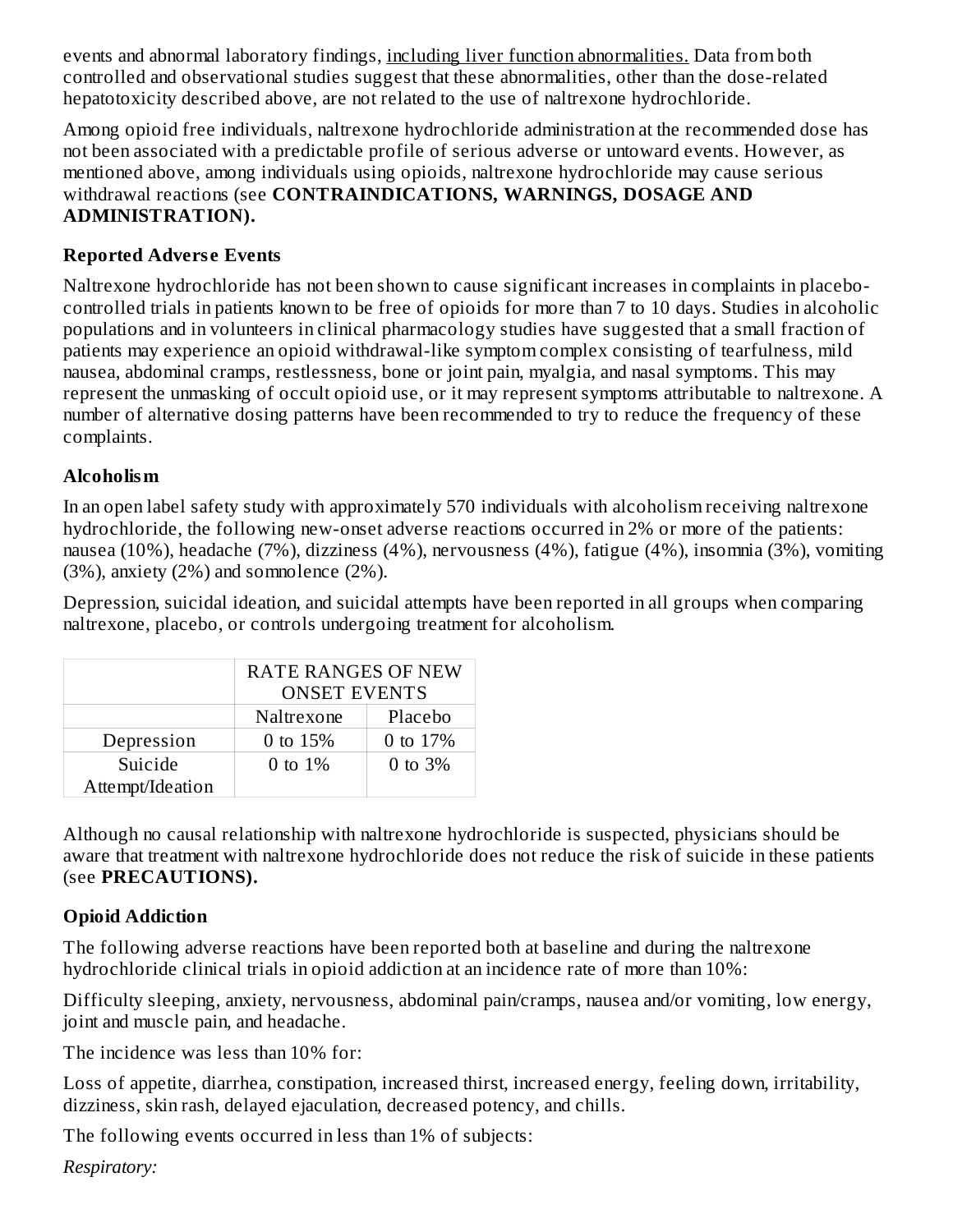events and abnormal laboratory findings, including liver function abnormalities. Data from both controlled and observational studies suggest that these abnormalities, other than the dose-related hepatotoxicity described above, are not related to the use of naltrexone hydrochloride.

Among opioid free individuals, naltrexone hydrochloride administration at the recommended dose has not been associated with a predictable profile of serious adverse or untoward events. However, as mentioned above, among individuals using opioids, naltrexone hydrochloride may cause serious withdrawal reactions (see **CONTRAINDICATIONS, WARNINGS, DOSAGE AND ADMINISTRATION).**

## **Reported Advers e Events**

Naltrexone hydrochloride has not been shown to cause significant increases in complaints in placebocontrolled trials in patients known to be free of opioids for more than 7 to 10 days. Studies in alcoholic populations and in volunteers in clinical pharmacology studies have suggested that a small fraction of patients may experience an opioid withdrawal-like symptom complex consisting of tearfulness, mild nausea, abdominal cramps, restlessness, bone or joint pain, myalgia, and nasal symptoms. This may represent the unmasking of occult opioid use, or it may represent symptoms attributable to naltrexone. A number of alternative dosing patterns have been recommended to try to reduce the frequency of these complaints.

## **Alcoholism**

In an open label safety study with approximately 570 individuals with alcoholism receiving naltrexone hydrochloride, the following new-onset adverse reactions occurred in 2% or more of the patients: nausea (10%), headache (7%), dizziness (4%), nervousness (4%), fatigue (4%), insomnia (3%), vomiting (3%), anxiety (2%) and somnolence (2%).

Depression, suicidal ideation, and suicidal attempts have been reported in all groups when comparing naltrexone, placebo, or controls undergoing treatment for alcoholism.

|                  | <b>RATE RANGES OF NEW</b> |             |  |
|------------------|---------------------------|-------------|--|
|                  | <b>ONSET EVENTS</b>       |             |  |
|                  | Naltrexone                | Placebo     |  |
| Depression       | 0 to $15%$                | 0 to 17%    |  |
| Suicide          | 0 to $1\%$                | $0$ to $3%$ |  |
| Attempt/Ideation |                           |             |  |

Although no causal relationship with naltrexone hydrochloride is suspected, physicians should be aware that treatment with naltrexone hydrochloride does not reduce the risk of suicide in these patients (see **PRECAUTIONS).**

## **Opioid Addiction**

The following adverse reactions have been reported both at baseline and during the naltrexone hydrochloride clinical trials in opioid addiction at an incidence rate of more than 10%:

Difficulty sleeping, anxiety, nervousness, abdominal pain/cramps, nausea and/or vomiting, low energy, joint and muscle pain, and headache.

The incidence was less than 10% for:

Loss of appetite, diarrhea, constipation, increased thirst, increased energy, feeling down, irritability, dizziness, skin rash, delayed ejaculation, decreased potency, and chills.

The following events occurred in less than 1% of subjects:

*Respiratory:*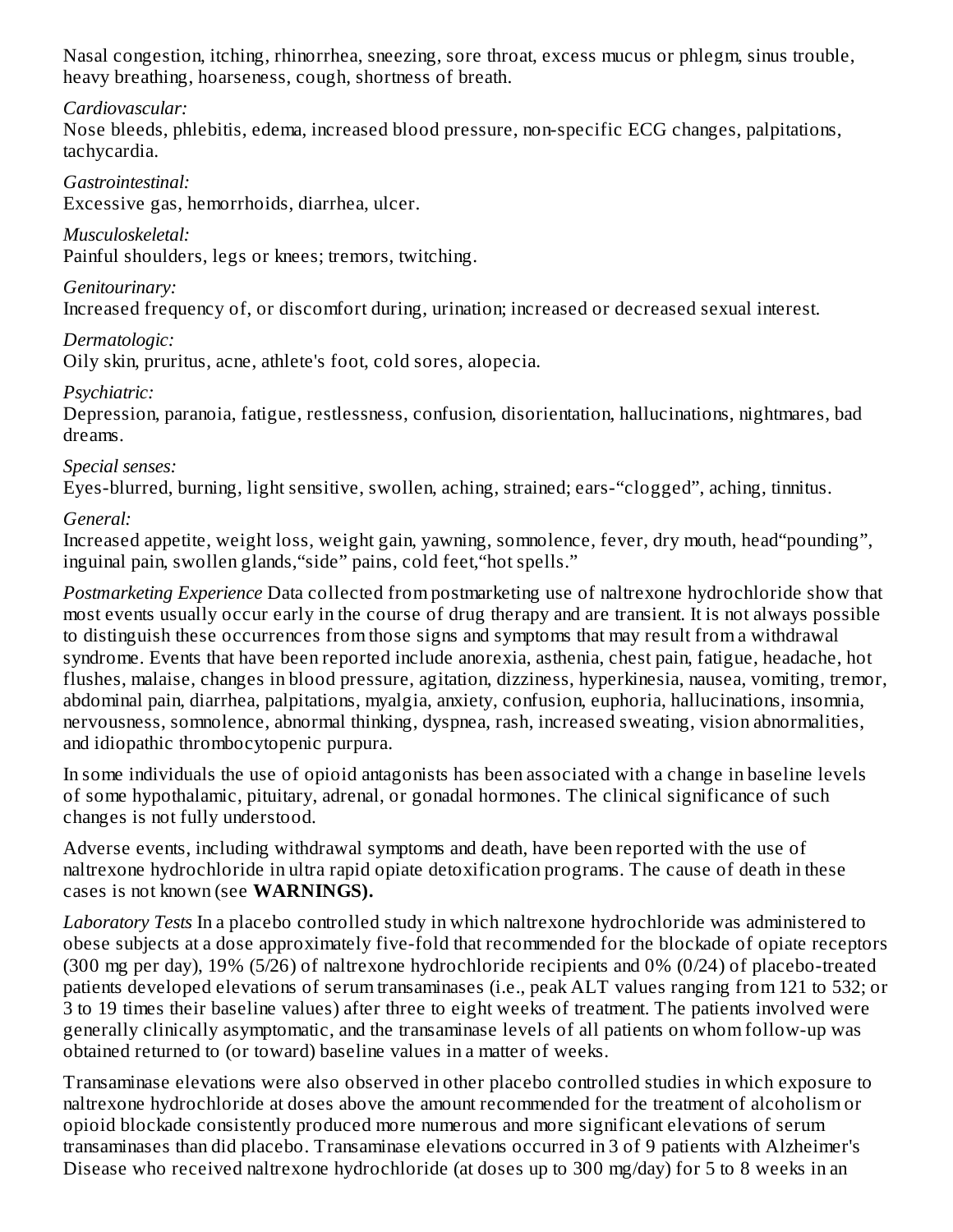Nasal congestion, itching, rhinorrhea, sneezing, sore throat, excess mucus or phlegm, sinus trouble, heavy breathing, hoarseness, cough, shortness of breath.

#### *Cardiovascular:*

Nose bleeds, phlebitis, edema, increased blood pressure, non-specific ECG changes, palpitations, tachycardia.

*Gastrointestinal:*

Excessive gas, hemorrhoids, diarrhea, ulcer.

*Musculoskeletal:*

Painful shoulders, legs or knees; tremors, twitching.

*Genitourinary:*

Increased frequency of, or discomfort during, urination; increased or decreased sexual interest.

*Dermatologic:*

Oily skin, pruritus, acne, athlete's foot, cold sores, alopecia.

*Psychiatric:*

Depression, paranoia, fatigue, restlessness, confusion, disorientation, hallucinations, nightmares, bad dreams.

#### *Special senses:*

Eyes-blurred, burning, light sensitive, swollen, aching, strained; ears-"clogged", aching, tinnitus.

*General:*

Increased appetite, weight loss, weight gain, yawning, somnolence, fever, dry mouth, head"pounding", inguinal pain, swollen glands,"side" pains, cold feet,"hot spells."

*Postmarketing Experience* Data collected from postmarketing use of naltrexone hydrochloride show that most events usually occur early in the course of drug therapy and are transient. It is not always possible to distinguish these occurrences from those signs and symptoms that may result from a withdrawal syndrome. Events that have been reported include anorexia, asthenia, chest pain, fatigue, headache, hot flushes, malaise, changes in blood pressure, agitation, dizziness, hyperkinesia, nausea, vomiting, tremor, abdominal pain, diarrhea, palpitations, myalgia, anxiety, confusion, euphoria, hallucinations, insomnia, nervousness, somnolence, abnormal thinking, dyspnea, rash, increased sweating, vision abnormalities, and idiopathic thrombocytopenic purpura.

In some individuals the use of opioid antagonists has been associated with a change in baseline levels of some hypothalamic, pituitary, adrenal, or gonadal hormones. The clinical significance of such changes is not fully understood.

Adverse events, including withdrawal symptoms and death, have been reported with the use of naltrexone hydrochloride in ultra rapid opiate detoxification programs. The cause of death in these cases is not known (see **WARNINGS).**

*Laboratory Tests* In a placebo controlled study in which naltrexone hydrochloride was administered to obese subjects at a dose approximately five-fold that recommended for the blockade of opiate receptors (300 mg per day), 19% (5/26) of naltrexone hydrochloride recipients and 0% (0/24) of placebo-treated patients developed elevations of serum transaminases (i.e., peak ALT values ranging from 121 to 532; or 3 to 19 times their baseline values) after three to eight weeks of treatment. The patients involved were generally clinically asymptomatic, and the transaminase levels of all patients on whom follow-up was obtained returned to (or toward) baseline values in a matter of weeks.

Transaminase elevations were also observed in other placebo controlled studies in which exposure to naltrexone hydrochloride at doses above the amount recommended for the treatment of alcoholism or opioid blockade consistently produced more numerous and more significant elevations of serum transaminases than did placebo. Transaminase elevations occurred in 3 of 9 patients with Alzheimer's Disease who received naltrexone hydrochloride (at doses up to 300 mg/day) for 5 to 8 weeks in an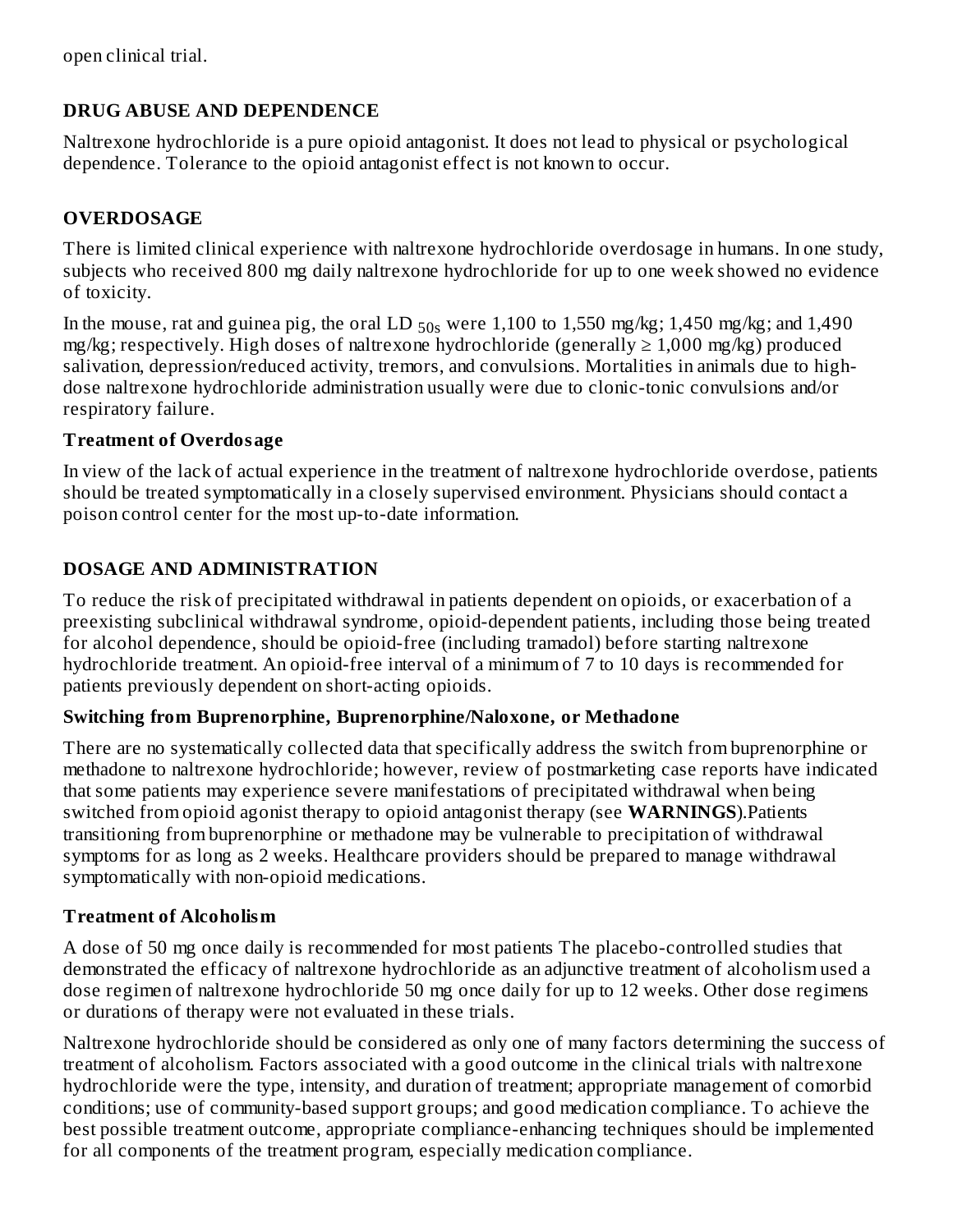open clinical trial.

## **DRUG ABUSE AND DEPENDENCE**

Naltrexone hydrochloride is a pure opioid antagonist. It does not lead to physical or psychological dependence. Tolerance to the opioid antagonist effect is not known to occur.

## **OVERDOSAGE**

There is limited clinical experience with naltrexone hydrochloride overdosage in humans. In one study, subjects who received 800 mg daily naltrexone hydrochloride for up to one week showed no evidence of toxicity.

In the mouse, rat and guinea pig, the oral LD  $_{50s}$  were 1,100 to 1,550 mg/kg; 1,450 mg/kg; and 1,490 mg/kg; respectively. High doses of naltrexone hydrochloride (generally  $\geq 1,000$  mg/kg) produced salivation, depression/reduced activity, tremors, and convulsions. Mortalities in animals due to highdose naltrexone hydrochloride administration usually were due to clonic-tonic convulsions and/or respiratory failure.

#### **Treatment of Overdosage**

In view of the lack of actual experience in the treatment of naltrexone hydrochloride overdose, patients should be treated symptomatically in a closely supervised environment. Physicians should contact a poison control center for the most up-to-date information.

## **DOSAGE AND ADMINISTRATION**

To reduce the risk of precipitated withdrawal in patients dependent on opioids, or exacerbation of a preexisting subclinical withdrawal syndrome, opioid-dependent patients, including those being treated for alcohol dependence, should be opioid-free (including tramadol) before starting naltrexone hydrochloride treatment. An opioid-free interval of a minimum of 7 to 10 days is recommended for patients previously dependent on short-acting opioids.

#### **Switching from Buprenorphine, Buprenorphine/Naloxone, or Methadone**

There are no systematically collected data that specifically address the switch from buprenorphine or methadone to naltrexone hydrochloride; however, review of postmarketing case reports have indicated that some patients may experience severe manifestations of precipitated withdrawal when being switched from opioid agonist therapy to opioid antagonist therapy (see **WARNINGS**).Patients transitioning from buprenorphine or methadone may be vulnerable to precipitation of withdrawal symptoms for as long as 2 weeks. Healthcare providers should be prepared to manage withdrawal symptomatically with non-opioid medications.

## **Treatment of Alcoholism**

A dose of 50 mg once daily is recommended for most patients The placebo-controlled studies that demonstrated the efficacy of naltrexone hydrochloride as an adjunctive treatment of alcoholism used a dose regimen of naltrexone hydrochloride 50 mg once daily for up to 12 weeks. Other dose regimens or durations of therapy were not evaluated in these trials.

Naltrexone hydrochloride should be considered as only one of many factors determining the success of treatment of alcoholism. Factors associated with a good outcome in the clinical trials with naltrexone hydrochloride were the type, intensity, and duration of treatment; appropriate management of comorbid conditions; use of community-based support groups; and good medication compliance. To achieve the best possible treatment outcome, appropriate compliance-enhancing techniques should be implemented for all components of the treatment program, especially medication compliance.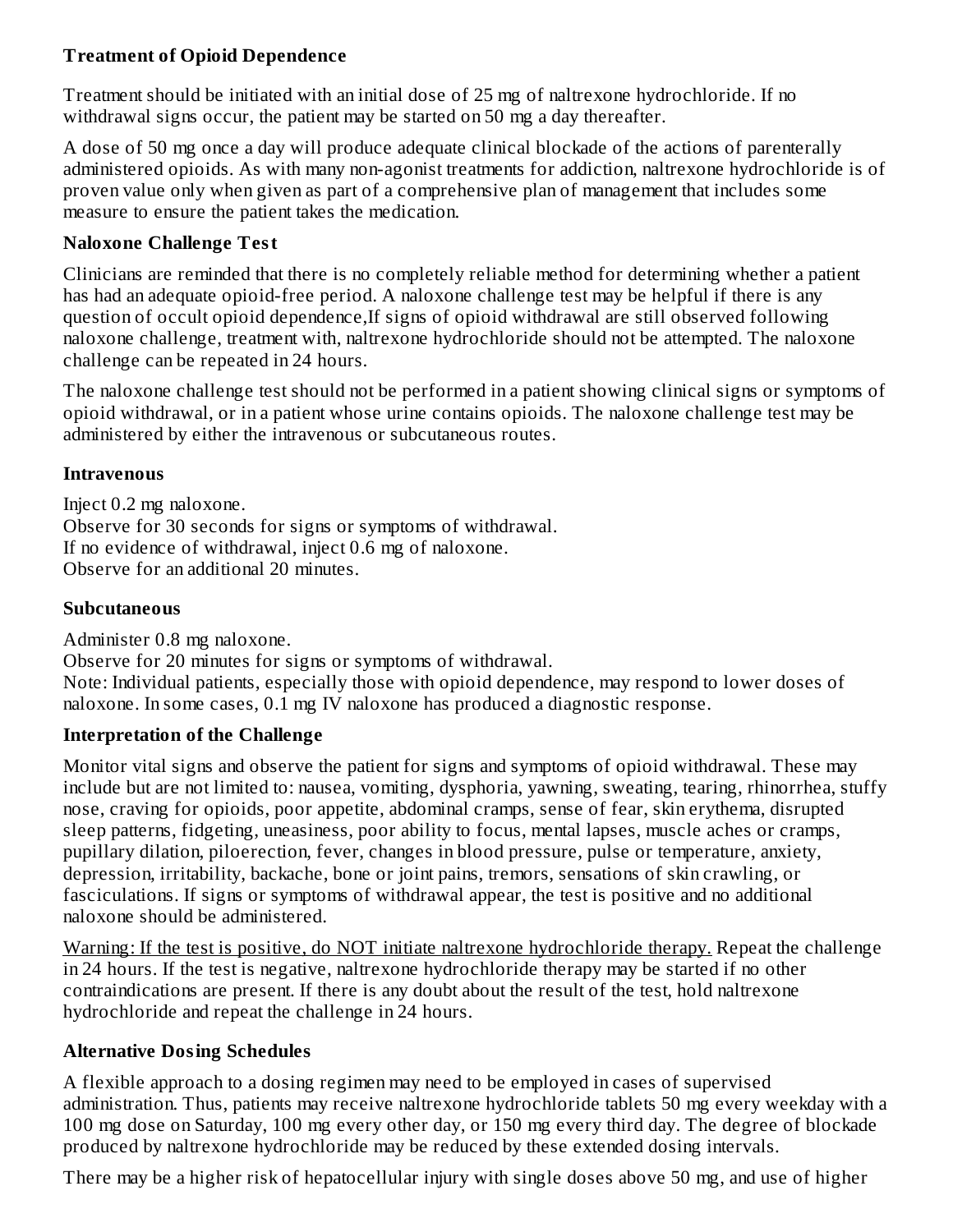## **Treatment of Opioid Dependence**

Treatment should be initiated with an initial dose of 25 mg of naltrexone hydrochloride. If no withdrawal signs occur, the patient may be started on 50 mg a day thereafter.

A dose of 50 mg once a day will produce adequate clinical blockade of the actions of parenterally administered opioids. As with many non-agonist treatments for addiction, naltrexone hydrochloride is of proven value only when given as part of a comprehensive plan of management that includes some measure to ensure the patient takes the medication.

#### **Naloxone Challenge Test**

Clinicians are reminded that there is no completely reliable method for determining whether a patient has had an adequate opioid-free period. A naloxone challenge test may be helpful if there is any question of occult opioid dependence,If signs of opioid withdrawal are still observed following naloxone challenge, treatment with, naltrexone hydrochloride should not be attempted. The naloxone challenge can be repeated in 24 hours.

The naloxone challenge test should not be performed in a patient showing clinical signs or symptoms of opioid withdrawal, or in a patient whose urine contains opioids. The naloxone challenge test may be administered by either the intravenous or subcutaneous routes.

#### **Intravenous**

Inject 0.2 mg naloxone. Observe for 30 seconds for signs or symptoms of withdrawal. If no evidence of withdrawal, inject 0.6 mg of naloxone. Observe for an additional 20 minutes.

## **Subcutaneous**

Administer 0.8 mg naloxone.

Observe for 20 minutes for signs or symptoms of withdrawal. Note: Individual patients, especially those with opioid dependence, may respond to lower doses of naloxone. In some cases, 0.1 mg IV naloxone has produced a diagnostic response.

## **Interpretation of the Challenge**

Monitor vital signs and observe the patient for signs and symptoms of opioid withdrawal. These may include but are not limited to: nausea, vomiting, dysphoria, yawning, sweating, tearing, rhinorrhea, stuffy nose, craving for opioids, poor appetite, abdominal cramps, sense of fear, skin erythema, disrupted sleep patterns, fidgeting, uneasiness, poor ability to focus, mental lapses, muscle aches or cramps, pupillary dilation, piloerection, fever, changes in blood pressure, pulse or temperature, anxiety, depression, irritability, backache, bone or joint pains, tremors, sensations of skin crawling, or fasciculations. If signs or symptoms of withdrawal appear, the test is positive and no additional naloxone should be administered.

Warning: If the test is positive, do NOT initiate naltrexone hydrochloride therapy. Repeat the challenge in 24 hours. If the test is negative, naltrexone hydrochloride therapy may be started if no other contraindications are present. If there is any doubt about the result of the test, hold naltrexone hydrochloride and repeat the challenge in 24 hours.

## **Alternative Dosing Schedules**

A flexible approach to a dosing regimen may need to be employed in cases of supervised administration. Thus, patients may receive naltrexone hydrochloride tablets 50 mg every weekday with a 100 mg dose on Saturday, 100 mg every other day, or 150 mg every third day. The degree of blockade produced by naltrexone hydrochloride may be reduced by these extended dosing intervals.

There may be a higher risk of hepatocellular injury with single doses above 50 mg, and use of higher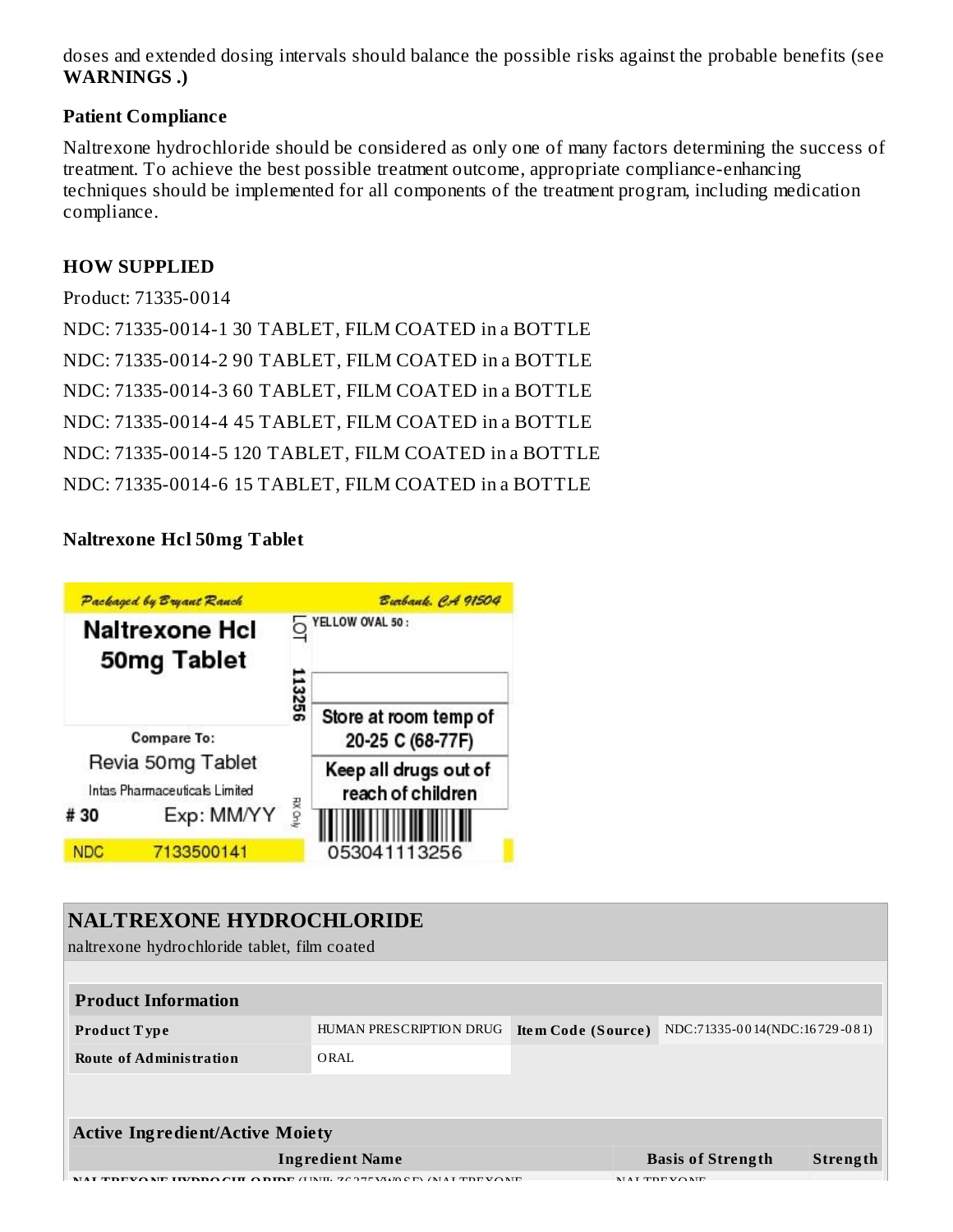doses and extended dosing intervals should balance the possible risks against the probable benefits (see **WARNINGS .)**

#### **Patient Compliance**

Naltrexone hydrochloride should be considered as only one of many factors determining the success of treatment. To achieve the best possible treatment outcome, appropriate compliance-enhancing techniques should be implemented for all components of the treatment program, including medication compliance.

#### **HOW SUPPLIED**

```
Product: 71335-0014
NDC: 71335-0014-1 30 TABLET, FILM COATED in a BOTTLE
NDC: 71335-0014-2 90 TABLET, FILM COATED in a BOTTLE
NDC: 71335-0014-3 60 TABLET, FILM COATED in a BOTTLE
NDC: 71335-0014-4 45 TABLET, FILM COATED in a BOTTLE
NDC: 71335-0014-5 120 TABLET, FILM COATED in a BOTTLE
NDC: 71335-0014-6 15 TABLET, FILM COATED in a BOTTLE
```
## **Naltrexone Hcl 50mg Tablet**



#### **NALTREXONE HYDROCHLORIDE**

naltrexone hydrochloride tablet, film coated

| <b>Product Information</b>                          |                         |                    |                               |  |          |  |  |
|-----------------------------------------------------|-------------------------|--------------------|-------------------------------|--|----------|--|--|
| Product Type                                        | HUMAN PRESCRIPTION DRUG | Item Code (Source) | NDC:71335-0014(NDC:16729-081) |  |          |  |  |
| <b>Route of Administration</b>                      | ORAL                    |                    |                               |  |          |  |  |
|                                                     |                         |                    |                               |  |          |  |  |
| <b>Active Ingredient/Active Moiety</b>              |                         |                    |                               |  |          |  |  |
| <b>Ingredient Name</b>                              |                         |                    | <b>Basis of Strength</b>      |  | Strength |  |  |
| $\blacksquare$ TINIT, 7037534100 D) (NJ LE TREVONIT |                         |                    | MAI TDEVONE                   |  |          |  |  |